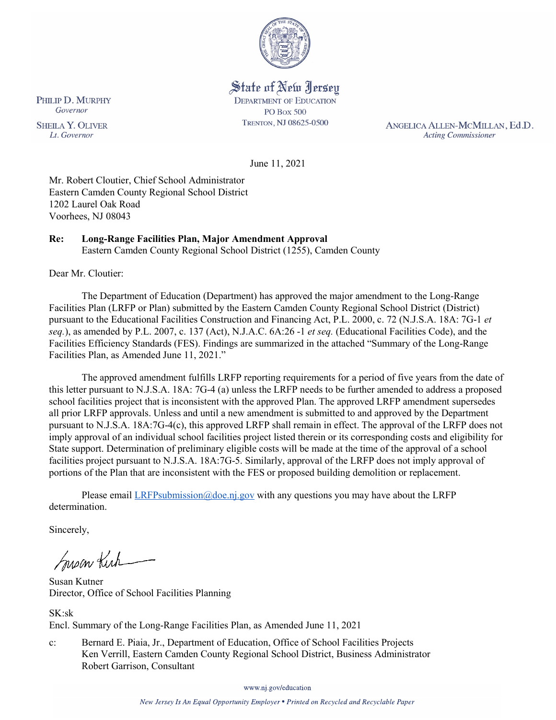

State of New Jersey **DEPARTMENT OF EDUCATION PO Box 500** TRENTON, NJ 08625-0500

ANGELICA ALLEN-MCMILLAN, Ed.D. **Acting Commissioner** 

June 11, 2021

Mr. Robert Cloutier, Chief School Administrator Eastern Camden County Regional School District 1202 Laurel Oak Road Voorhees, NJ 08043

# **Re: Long-Range Facilities Plan, Major Amendment Approval**

Eastern Camden County Regional School District (1255), Camden County

Dear Mr. Cloutier:

The Department of Education (Department) has approved the major amendment to the Long-Range Facilities Plan (LRFP or Plan) submitted by the Eastern Camden County Regional School District (District) pursuant to the Educational Facilities Construction and Financing Act, P.L. 2000, c. 72 (N.J.S.A. 18A: 7G-1 *et seq.*), as amended by P.L. 2007, c. 137 (Act), N.J.A.C. 6A:26 -1 *et seq.* (Educational Facilities Code), and the Facilities Efficiency Standards (FES). Findings are summarized in the attached "Summary of the Long-Range Facilities Plan, as Amended June 11, 2021."

The approved amendment fulfills LRFP reporting requirements for a period of five years from the date of this letter pursuant to N.J.S.A. 18A: 7G-4 (a) unless the LRFP needs to be further amended to address a proposed school facilities project that is inconsistent with the approved Plan. The approved LRFP amendment supersedes all prior LRFP approvals. Unless and until a new amendment is submitted to and approved by the Department pursuant to N.J.S.A. 18A:7G-4(c), this approved LRFP shall remain in effect. The approval of the LRFP does not imply approval of an individual school facilities project listed therein or its corresponding costs and eligibility for State support. Determination of preliminary eligible costs will be made at the time of the approval of a school facilities project pursuant to N.J.S.A. 18A:7G-5. Similarly, approval of the LRFP does not imply approval of portions of the Plan that are inconsistent with the FES or proposed building demolition or replacement.

Please email *LRFPsubmission@doe.nj.gov* with any questions you may have about the LRFP determination.

Sincerely,

Susan Kich

Susan Kutner Director, Office of School Facilities Planning

SK:sk Encl. Summary of the Long-Range Facilities Plan, as Amended June 11, 2021

c: Bernard E. Piaia, Jr., Department of Education, Office of School Facilities Projects Ken Verrill, Eastern Camden County Regional School District, Business Administrator Robert Garrison, Consultant

www.nj.gov/education

New Jersey Is An Equal Opportunity Employer . Printed on Recycled and Recyclable Paper

PHILIP D. MURPHY Governor

**SHEILA Y. OLIVER** Lt. Governor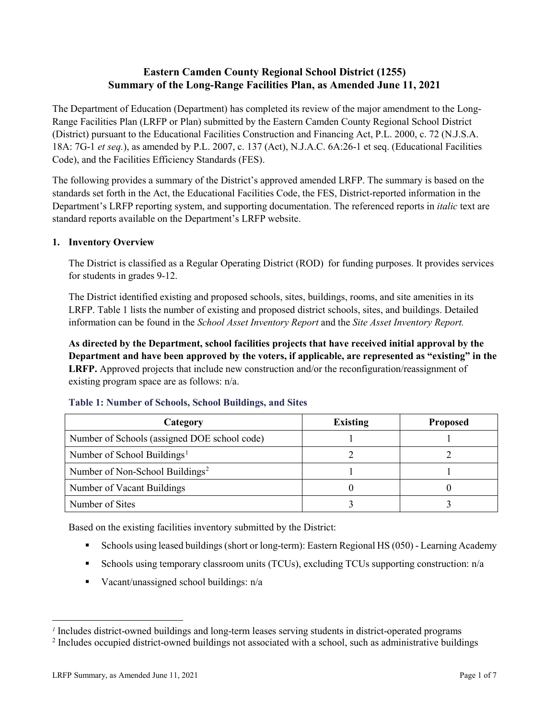# **Eastern Camden County Regional School District (1255) Summary of the Long-Range Facilities Plan, as Amended June 11, 2021**

The Department of Education (Department) has completed its review of the major amendment to the Long-Range Facilities Plan (LRFP or Plan) submitted by the Eastern Camden County Regional School District (District) pursuant to the Educational Facilities Construction and Financing Act, P.L. 2000, c. 72 (N.J.S.A. 18A: 7G-1 *et seq.*), as amended by P.L. 2007, c. 137 (Act), N.J.A.C. 6A:26-1 et seq. (Educational Facilities Code), and the Facilities Efficiency Standards (FES).

The following provides a summary of the District's approved amended LRFP. The summary is based on the standards set forth in the Act, the Educational Facilities Code, the FES, District-reported information in the Department's LRFP reporting system, and supporting documentation. The referenced reports in *italic* text are standard reports available on the Department's LRFP website.

## **1. Inventory Overview**

The District is classified as a Regular Operating District (ROD) for funding purposes. It provides services for students in grades 9-12.

The District identified existing and proposed schools, sites, buildings, rooms, and site amenities in its LRFP. Table 1 lists the number of existing and proposed district schools, sites, and buildings. Detailed information can be found in the *School Asset Inventory Report* and the *Site Asset Inventory Report.*

**As directed by the Department, school facilities projects that have received initial approval by the Department and have been approved by the voters, if applicable, are represented as "existing" in the LRFP.** Approved projects that include new construction and/or the reconfiguration/reassignment of existing program space are as follows: n/a.

| Category                                     | <b>Existing</b> | <b>Proposed</b> |
|----------------------------------------------|-----------------|-----------------|
| Number of Schools (assigned DOE school code) |                 |                 |
| Number of School Buildings <sup>1</sup>      |                 |                 |
| Number of Non-School Buildings <sup>2</sup>  |                 |                 |
| Number of Vacant Buildings                   |                 |                 |
| Number of Sites                              |                 |                 |

#### **Table 1: Number of Schools, School Buildings, and Sites**

Based on the existing facilities inventory submitted by the District:

- Schools using leased buildings (short or long-term): Eastern Regional HS (050) Learning Academy
- Schools using temporary classroom units (TCUs), excluding TCUs supporting construction: n/a
- Vacant/unassigned school buildings:  $n/a$

 $\overline{a}$ 

<span id="page-1-1"></span><span id="page-1-0"></span>*<sup>1</sup>* Includes district-owned buildings and long-term leases serving students in district-operated programs

<sup>&</sup>lt;sup>2</sup> Includes occupied district-owned buildings not associated with a school, such as administrative buildings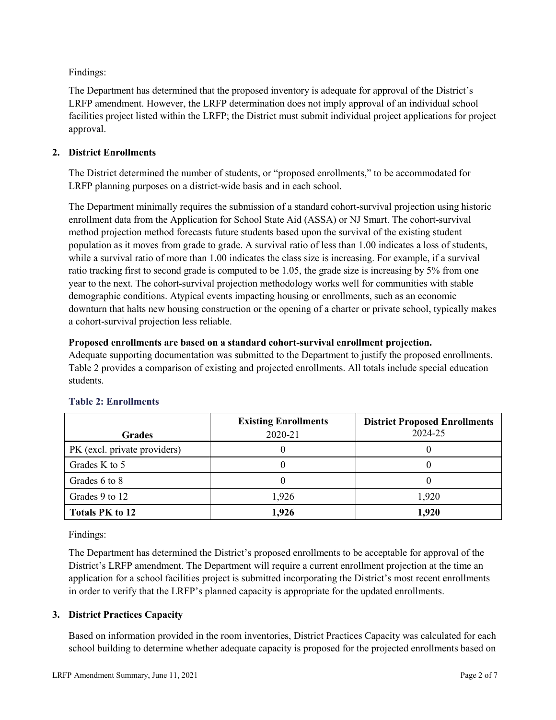Findings:

The Department has determined that the proposed inventory is adequate for approval of the District's LRFP amendment. However, the LRFP determination does not imply approval of an individual school facilities project listed within the LRFP; the District must submit individual project applications for project approval.

## **2. District Enrollments**

The District determined the number of students, or "proposed enrollments," to be accommodated for LRFP planning purposes on a district-wide basis and in each school.

The Department minimally requires the submission of a standard cohort-survival projection using historic enrollment data from the Application for School State Aid (ASSA) or NJ Smart. The cohort-survival method projection method forecasts future students based upon the survival of the existing student population as it moves from grade to grade. A survival ratio of less than 1.00 indicates a loss of students, while a survival ratio of more than 1.00 indicates the class size is increasing. For example, if a survival ratio tracking first to second grade is computed to be 1.05, the grade size is increasing by 5% from one year to the next. The cohort-survival projection methodology works well for communities with stable demographic conditions. Atypical events impacting housing or enrollments, such as an economic downturn that halts new housing construction or the opening of a charter or private school, typically makes a cohort-survival projection less reliable.

#### **Proposed enrollments are based on a standard cohort-survival enrollment projection.**

Adequate supporting documentation was submitted to the Department to justify the proposed enrollments. Table 2 provides a comparison of existing and projected enrollments. All totals include special education students.

|                              | <b>Existing Enrollments</b> | <b>District Proposed Enrollments</b> |
|------------------------------|-----------------------------|--------------------------------------|
| <b>Grades</b>                | 2020-21                     | 2024-25                              |
| PK (excl. private providers) |                             |                                      |
| Grades K to 5                |                             |                                      |
| Grades 6 to 8                |                             |                                      |
| Grades 9 to 12               | 1,926                       | 1,920                                |
| <b>Totals PK to 12</b>       | 1,926                       | 1,920                                |

## **Table 2: Enrollments**

Findings:

The Department has determined the District's proposed enrollments to be acceptable for approval of the District's LRFP amendment. The Department will require a current enrollment projection at the time an application for a school facilities project is submitted incorporating the District's most recent enrollments in order to verify that the LRFP's planned capacity is appropriate for the updated enrollments.

## **3. District Practices Capacity**

Based on information provided in the room inventories, District Practices Capacity was calculated for each school building to determine whether adequate capacity is proposed for the projected enrollments based on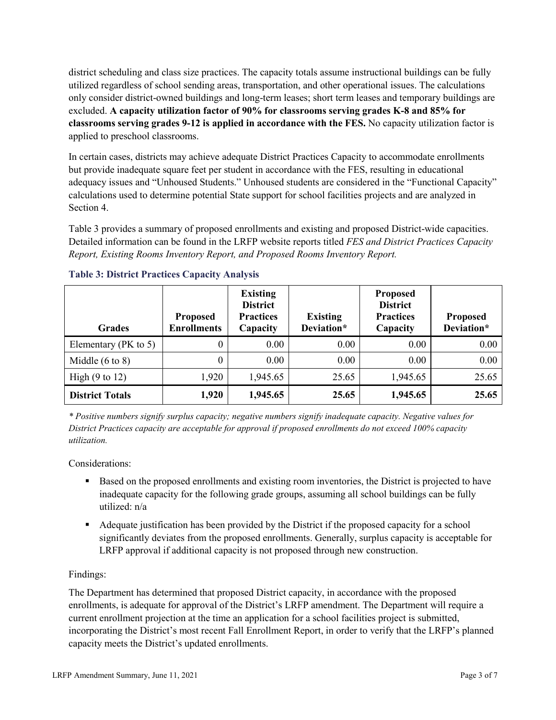district scheduling and class size practices. The capacity totals assume instructional buildings can be fully utilized regardless of school sending areas, transportation, and other operational issues. The calculations only consider district-owned buildings and long-term leases; short term leases and temporary buildings are excluded. **A capacity utilization factor of 90% for classrooms serving grades K-8 and 85% for classrooms serving grades 9-12 is applied in accordance with the FES.** No capacity utilization factor is applied to preschool classrooms.

In certain cases, districts may achieve adequate District Practices Capacity to accommodate enrollments but provide inadequate square feet per student in accordance with the FES, resulting in educational adequacy issues and "Unhoused Students." Unhoused students are considered in the "Functional Capacity" calculations used to determine potential State support for school facilities projects and are analyzed in Section 4.

Table 3 provides a summary of proposed enrollments and existing and proposed District-wide capacities. Detailed information can be found in the LRFP website reports titled *FES and District Practices Capacity Report, Existing Rooms Inventory Report, and Proposed Rooms Inventory Report.*

| <b>Grades</b>              | <b>Proposed</b><br><b>Enrollments</b> | <b>Existing</b><br><b>District</b><br><b>Practices</b><br>Capacity | <b>Existing</b><br>Deviation* | <b>Proposed</b><br><b>District</b><br><b>Practices</b><br>Capacity | <b>Proposed</b><br>Deviation* |
|----------------------------|---------------------------------------|--------------------------------------------------------------------|-------------------------------|--------------------------------------------------------------------|-------------------------------|
| Elementary ( $PK$ to 5)    | 0                                     | 0.00                                                               | 0.00                          | 0.00                                                               | 0.00                          |
| Middle $(6 \text{ to } 8)$ | 0                                     | 0.00                                                               | 0.00                          | 0.00                                                               | 0.00                          |
| High $(9 \text{ to } 12)$  | 1,920                                 | 1,945.65                                                           | 25.65                         | 1,945.65                                                           | 25.65                         |
| <b>District Totals</b>     | 1,920                                 | 1,945.65                                                           | 25.65                         | 1,945.65                                                           | 25.65                         |

## **Table 3: District Practices Capacity Analysis**

*\* Positive numbers signify surplus capacity; negative numbers signify inadequate capacity. Negative values for District Practices capacity are acceptable for approval if proposed enrollments do not exceed 100% capacity utilization.*

Considerations:

- Based on the proposed enrollments and existing room inventories, the District is projected to have inadequate capacity for the following grade groups, assuming all school buildings can be fully utilized: n/a
- Adequate justification has been provided by the District if the proposed capacity for a school significantly deviates from the proposed enrollments. Generally, surplus capacity is acceptable for LRFP approval if additional capacity is not proposed through new construction.

## Findings:

The Department has determined that proposed District capacity, in accordance with the proposed enrollments, is adequate for approval of the District's LRFP amendment. The Department will require a current enrollment projection at the time an application for a school facilities project is submitted, incorporating the District's most recent Fall Enrollment Report, in order to verify that the LRFP's planned capacity meets the District's updated enrollments.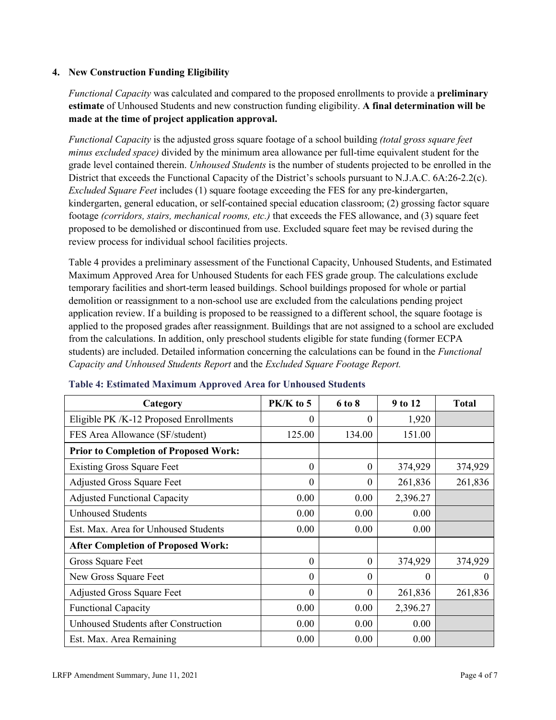### **4. New Construction Funding Eligibility**

*Functional Capacity* was calculated and compared to the proposed enrollments to provide a **preliminary estimate** of Unhoused Students and new construction funding eligibility. **A final determination will be made at the time of project application approval.**

*Functional Capacity* is the adjusted gross square footage of a school building *(total gross square feet minus excluded space)* divided by the minimum area allowance per full-time equivalent student for the grade level contained therein. *Unhoused Students* is the number of students projected to be enrolled in the District that exceeds the Functional Capacity of the District's schools pursuant to N.J.A.C. 6A:26-2.2(c). *Excluded Square Feet* includes (1) square footage exceeding the FES for any pre-kindergarten, kindergarten, general education, or self-contained special education classroom; (2) grossing factor square footage *(corridors, stairs, mechanical rooms, etc.)* that exceeds the FES allowance, and (3) square feet proposed to be demolished or discontinued from use. Excluded square feet may be revised during the review process for individual school facilities projects.

Table 4 provides a preliminary assessment of the Functional Capacity, Unhoused Students, and Estimated Maximum Approved Area for Unhoused Students for each FES grade group. The calculations exclude temporary facilities and short-term leased buildings. School buildings proposed for whole or partial demolition or reassignment to a non-school use are excluded from the calculations pending project application review. If a building is proposed to be reassigned to a different school, the square footage is applied to the proposed grades after reassignment. Buildings that are not assigned to a school are excluded from the calculations. In addition, only preschool students eligible for state funding (former ECPA students) are included. Detailed information concerning the calculations can be found in the *Functional Capacity and Unhoused Students Report* and the *Excluded Square Footage Report.*

| Category                                     | PK/K to 5 | 6 to 8   | 9 to 12  | <b>Total</b> |
|----------------------------------------------|-----------|----------|----------|--------------|
| Eligible PK /K-12 Proposed Enrollments       | 0         | $\theta$ | 1,920    |              |
| FES Area Allowance (SF/student)              | 125.00    | 134.00   | 151.00   |              |
| <b>Prior to Completion of Proposed Work:</b> |           |          |          |              |
| <b>Existing Gross Square Feet</b>            | $\theta$  | $\theta$ | 374,929  | 374,929      |
| <b>Adjusted Gross Square Feet</b>            | $\theta$  | $\theta$ | 261,836  | 261,836      |
| <b>Adjusted Functional Capacity</b>          | 0.00      | 0.00     | 2,396.27 |              |
| <b>Unhoused Students</b>                     | 0.00      | 0.00     | 0.00     |              |
| Est. Max. Area for Unhoused Students         | 0.00      | 0.00     | 0.00     |              |
| <b>After Completion of Proposed Work:</b>    |           |          |          |              |
| Gross Square Feet                            | $\theta$  | $\theta$ | 374,929  | 374,929      |
| New Gross Square Feet                        | $\theta$  | $\Omega$ | 0        | $\Omega$     |
| <b>Adjusted Gross Square Feet</b>            | $\Omega$  | $\Omega$ | 261,836  | 261,836      |
| <b>Functional Capacity</b>                   | 0.00      | 0.00     | 2,396.27 |              |
| <b>Unhoused Students after Construction</b>  | 0.00      | 0.00     | 0.00     |              |
| Est. Max. Area Remaining                     | 0.00      | 0.00     | 0.00     |              |

#### **Table 4: Estimated Maximum Approved Area for Unhoused Students**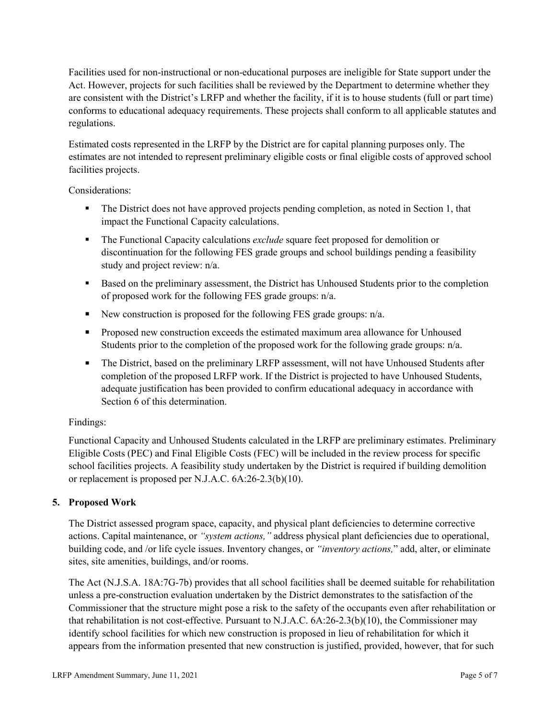Facilities used for non-instructional or non-educational purposes are ineligible for State support under the Act. However, projects for such facilities shall be reviewed by the Department to determine whether they are consistent with the District's LRFP and whether the facility, if it is to house students (full or part time) conforms to educational adequacy requirements. These projects shall conform to all applicable statutes and regulations.

Estimated costs represented in the LRFP by the District are for capital planning purposes only. The estimates are not intended to represent preliminary eligible costs or final eligible costs of approved school facilities projects.

Considerations:

- The District does not have approved projects pending completion, as noted in Section 1, that impact the Functional Capacity calculations.
- **The Functional Capacity calculations** *exclude* square feet proposed for demolition or discontinuation for the following FES grade groups and school buildings pending a feasibility study and project review: n/a.
- Based on the preliminary assessment, the District has Unhoused Students prior to the completion of proposed work for the following FES grade groups: n/a.
- New construction is proposed for the following FES grade groups: n/a.
- Proposed new construction exceeds the estimated maximum area allowance for Unhoused Students prior to the completion of the proposed work for the following grade groups: n/a.
- The District, based on the preliminary LRFP assessment, will not have Unhoused Students after completion of the proposed LRFP work. If the District is projected to have Unhoused Students, adequate justification has been provided to confirm educational adequacy in accordance with Section 6 of this determination.

## Findings:

Functional Capacity and Unhoused Students calculated in the LRFP are preliminary estimates. Preliminary Eligible Costs (PEC) and Final Eligible Costs (FEC) will be included in the review process for specific school facilities projects. A feasibility study undertaken by the District is required if building demolition or replacement is proposed per N.J.A.C. 6A:26-2.3(b)(10).

# **5. Proposed Work**

The District assessed program space, capacity, and physical plant deficiencies to determine corrective actions. Capital maintenance, or *"system actions,"* address physical plant deficiencies due to operational, building code, and /or life cycle issues. Inventory changes, or *"inventory actions,*" add, alter, or eliminate sites, site amenities, buildings, and/or rooms.

The Act (N.J.S.A. 18A:7G-7b) provides that all school facilities shall be deemed suitable for rehabilitation unless a pre-construction evaluation undertaken by the District demonstrates to the satisfaction of the Commissioner that the structure might pose a risk to the safety of the occupants even after rehabilitation or that rehabilitation is not cost-effective. Pursuant to N.J.A.C. 6A:26-2.3(b)(10), the Commissioner may identify school facilities for which new construction is proposed in lieu of rehabilitation for which it appears from the information presented that new construction is justified, provided, however, that for such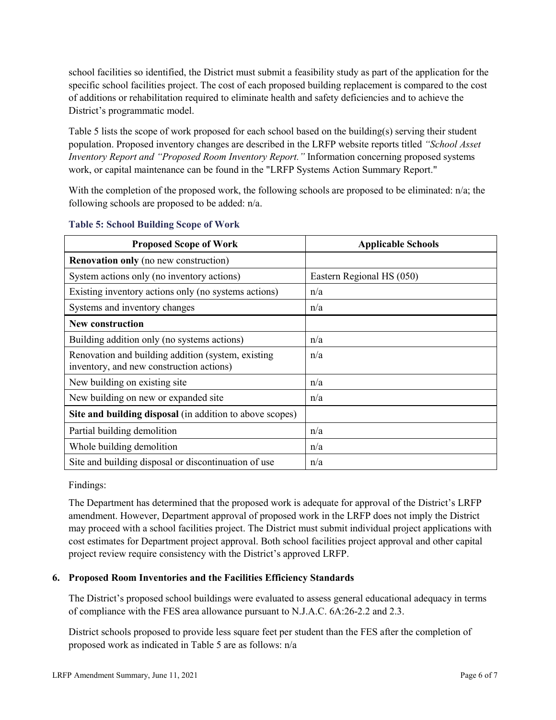school facilities so identified, the District must submit a feasibility study as part of the application for the specific school facilities project. The cost of each proposed building replacement is compared to the cost of additions or rehabilitation required to eliminate health and safety deficiencies and to achieve the District's programmatic model.

Table 5 lists the scope of work proposed for each school based on the building(s) serving their student population. Proposed inventory changes are described in the LRFP website reports titled *"School Asset Inventory Report and "Proposed Room Inventory Report."* Information concerning proposed systems work, or capital maintenance can be found in the "LRFP Systems Action Summary Report."

With the completion of the proposed work, the following schools are proposed to be eliminated: n/a; the following schools are proposed to be added: n/a.

| <b>Proposed Scope of Work</b>                                                                  | <b>Applicable Schools</b> |
|------------------------------------------------------------------------------------------------|---------------------------|
| <b>Renovation only</b> (no new construction)                                                   |                           |
| System actions only (no inventory actions)                                                     | Eastern Regional HS (050) |
| Existing inventory actions only (no systems actions)                                           | n/a                       |
| Systems and inventory changes                                                                  | n/a                       |
| <b>New construction</b>                                                                        |                           |
| Building addition only (no systems actions)                                                    | n/a                       |
| Renovation and building addition (system, existing<br>inventory, and new construction actions) | n/a                       |
| New building on existing site                                                                  | n/a                       |
| New building on new or expanded site                                                           | n/a                       |
| Site and building disposal (in addition to above scopes)                                       |                           |
| Partial building demolition                                                                    | n/a                       |
| Whole building demolition                                                                      | n/a                       |
| Site and building disposal or discontinuation of use                                           | n/a                       |

#### **Table 5: School Building Scope of Work**

Findings:

The Department has determined that the proposed work is adequate for approval of the District's LRFP amendment. However, Department approval of proposed work in the LRFP does not imply the District may proceed with a school facilities project. The District must submit individual project applications with cost estimates for Department project approval. Both school facilities project approval and other capital project review require consistency with the District's approved LRFP.

## **6. Proposed Room Inventories and the Facilities Efficiency Standards**

The District's proposed school buildings were evaluated to assess general educational adequacy in terms of compliance with the FES area allowance pursuant to N.J.A.C. 6A:26-2.2 and 2.3.

District schools proposed to provide less square feet per student than the FES after the completion of proposed work as indicated in Table 5 are as follows: n/a